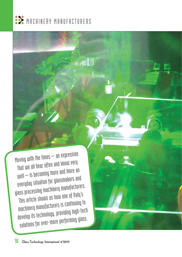

Moving with the times – an expression that we all hear often and know very well – is becoming more and more an everyday situation for glassmakers and glass processing machinery manufacturers. This article shows us how one of Italy's machinery manufacturers is continuing to develop its technology, providing high-tech solutions for ever-more performing glass.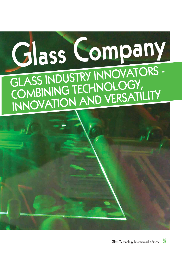

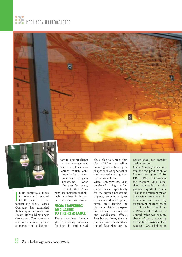





 $\overline{\phantom{a}}$ n its continuous move to follow and respond to the needs of the market and clients, Glass Company has expanded its headquarters located in Pesaro, Italy, adding a new showroom. The company also has a number of new employees and collaborators to support clients in the management and use of its machines, which continue to be a reference point for glass processing. Over the past few years, in fact, Glass Com-

pany has installed its hightech machines in important European companies.

## **FROM TEMPERING AND LASERS TO FIRE-RESISTANCE**

These machines include glass tempering furnaces for both flat and curved

glass, able to temper thin glass of 2.2mm, as well as curved glass with complex shapes such as spherical or multi-curved, starting from thicknesses of 3mm.

Glass Company has also developed high-performance lasers specifically for the surface processing of glass, removing all types of coating (low-E, paint, silver, etc.) leaving the glass completely transparent; or with satin-etched and sandblasted effects. Last but not least, there is the new laser for the drilling of float glass for the

construction and interior design sectors.

Glass Company's new system for the production of fire-resistant glass (EI30, EI60, EI90, etc.), suitable for medium- and largesized companies, is also gaining important results. Thanks to a vacuum mixer, this system prepares an intumescent and extremely transparent mixture based on silica which, thanks to a PC-controlled doser, is poured inside two or more sheets of glass, according to the fire resistance level required. Cross-linking in